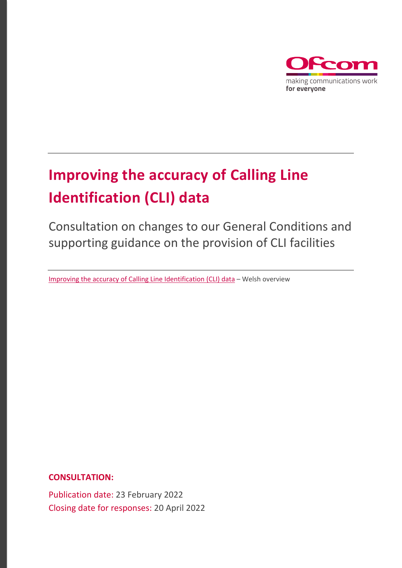

# **Improving the accuracy of Calling Line Identification (CLI) data**

Consultation on changes to our General Conditions and supporting guidance on the provision of CLI facilities

[Improving the accuracy of Calling Line Identification \(CLI\) data](https://www.ofcom.org.uk/__data/assets/pdf_file/0023/232934/Gwella-cywirdeb-data-adnabod-llinell-y-galwr-Trosolwg.pdf) – Welsh overview

**CONSULTATION:**

Publication date: 23 February 2022 Closing date for responses: 20 April 2022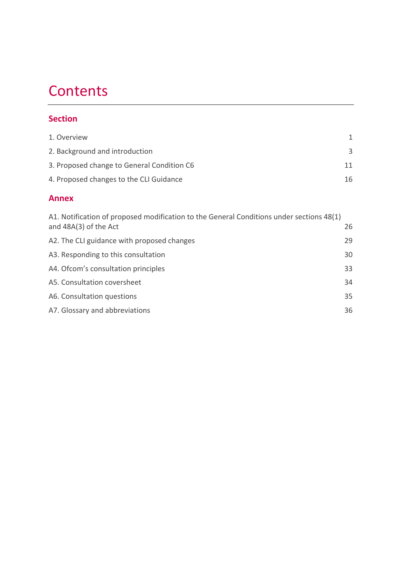# **Contents**

### **Section**

| <b>Annex</b>                               |    |
|--------------------------------------------|----|
| 4. Proposed changes to the CLI Guidance    | 16 |
| 3. Proposed change to General Condition C6 | 11 |
| 2. Background and introduction             | 3  |
| 1. Overview                                | 1  |

| A1. Notification of proposed modification to the General Conditions under sections 48(1)<br>and $48A(3)$ of the Act | 26 |
|---------------------------------------------------------------------------------------------------------------------|----|
| A2. The CLI guidance with proposed changes                                                                          | 29 |
| A3. Responding to this consultation                                                                                 | 30 |
| A4. Of com's consultation principles                                                                                | 33 |
| A5. Consultation coversheet                                                                                         | 34 |
| A6. Consultation questions                                                                                          | 35 |
| A7. Glossary and abbreviations                                                                                      | 36 |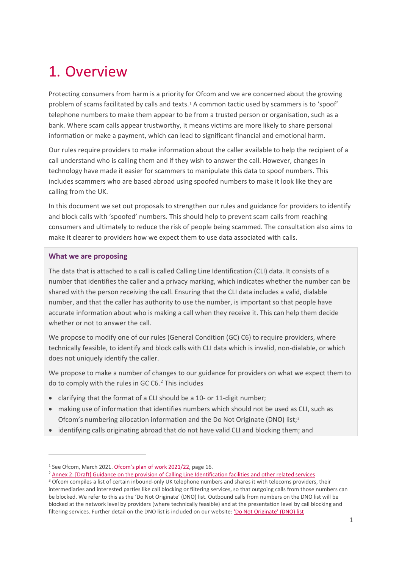# <span id="page-2-0"></span>1. Overview

Protecting consumers from harm is a priority for Ofcom and we are concerned about the growing problem of scams facilitated by calls and texts.[1](#page-2-1) A common tactic used by scammers is to 'spoof' telephone numbers to make them appear to be from a trusted person or organisation, such as a bank. Where scam calls appear trustworthy, it means victims are more likely to share personal information or make a payment, which can lead to significant financial and emotional harm.

Our rules require providers to make information about the caller available to help the recipient of a call understand who is calling them and if they wish to answer the call. However, changes in technology have made it easier for scammers to manipulate this data to spoof numbers. This includes scammers who are based abroad using spoofed numbers to make it look like they are calling from the UK.

In this document we set out proposals to strengthen our rules and guidance for providers to identify and block calls with 'spoofed' numbers. This should help to prevent scam calls from reaching consumers and ultimately to reduce the risk of people being scammed. The consultation also aims to make it clearer to providers how we expect them to use data associated with calls.

#### **What we are proposing**

The data that is attached to a call is called Calling Line Identification (CLI) data. It consists of a number that identifies the caller and a privacy marking, which indicates whether the number can be shared with the person receiving the call. Ensuring that the CLI data includes a valid, dialable number, and that the caller has authority to use the number, is important so that people have accurate information about who is making a call when they receive it. This can help them decide whether or not to answer the call.

We propose to modify one of our rules (General Condition (GC) C6) to require providers, where technically feasible, to identify and block calls with CLI data which is invalid, non-dialable, or which does not uniquely identify the caller.

We propose to make a number of changes to our guidance for providers on what we expect them to do to comply with the rules in GC C6. [2](#page-2-2) This includes

- clarifying that the format of a CLI should be a 10- or 11-digit number;
- making use of information that identifies numbers which should not be used as CLI, such as Ofcom's numbering allocation information and the Do Not Originate (DNO) list;<sup>[3](#page-2-3)</sup>
- identifying calls originating abroad that do not have valid CLI and blocking them; and

<span id="page-2-1"></span><sup>&</sup>lt;sup>1</sup> See Ofcom, March 2021[. Ofcom's plan of work 2021/22,](https://www.ofcom.org.uk/consultations-and-statements/category-2/plan-of-work-2021-22) page 16.

<span id="page-2-2"></span><sup>&</sup>lt;sup>2</sup> Annex 2: [Draft] Guidance [on the provision of Calling Line Identification facilities and other related services](https://www.ofcom.org.uk/__data/assets/pdf_file/0017/232073/proposed-guidance-provision-of-cli-facilities.pdf)

<span id="page-2-3"></span><sup>&</sup>lt;sup>3</sup> Ofcom compiles a list of certain inbound-only UK telephone numbers and shares it with telecoms providers, their intermediaries and interested parties like call blocking or filtering services, so that outgoing calls from those numbers can be blocked. We refer to this as the 'Do Not Originate' (DNO) list. Outbound calls from numbers on the DNO list will be blocked at the network level by providers (where technically feasible) and at the presentation level by call blocking and filtering services. Further detail on the DNO list is included on our website[: 'Do Not Originate' \(DNO\) list](https://www.ofcom.org.uk/phones-telecoms-and-internet/information-for-industry/policy/tackling-scam-calls-and-texts/do-not-originate)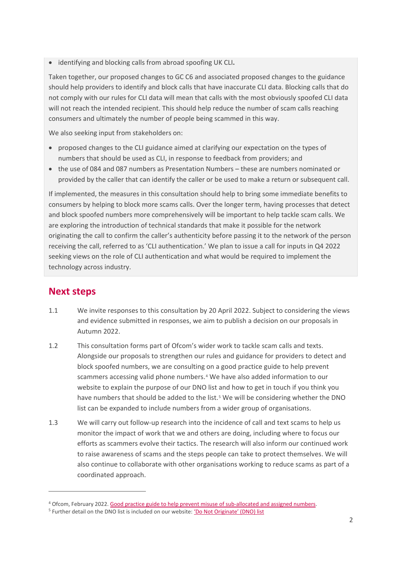• identifying and blocking calls from abroad spoofing UK CLI**.**

Taken together, our proposed changes to GC C6 and associated proposed changes to the guidance should help providers to identify and block calls that have inaccurate CLI data. Blocking calls that do not comply with our rules for CLI data will mean that calls with the most obviously spoofed CLI data will not reach the intended recipient. This should help reduce the number of scam calls reaching consumers and ultimately the number of people being scammed in this way.

We also seeking input from stakeholders on:

- proposed changes to the CLI guidance aimed at clarifying our expectation on the types of numbers that should be used as CLI, in response to feedback from providers; and
- the use of 084 and 087 numbers as Presentation Numbers these are numbers nominated or provided by the caller that can identify the caller or be used to make a return or subsequent call.

If implemented, the measures in this consultation should help to bring some immediate benefits to consumers by helping to block more scams calls. Over the longer term, having processes that detect and block spoofed numbers more comprehensively will be important to help tackle scam calls. We are exploring the introduction of technical standards that make it possible for the network originating the call to confirm the caller's authenticity before passing it to the network of the person receiving the call, referred to as 'CLI authentication.' We plan to issue a call for inputs in Q4 2022 seeking views on the role of CLI authentication and what would be required to implement the technology across industry.

## **Next steps**

- 1.1 We invite responses to this consultation by 20 April 2022. Subject to considering the views and evidence submitted in responses, we aim to publish a decision on our proposals in Autumn 2022.
- 1.2 This consultation forms part of Ofcom's wider work to tackle scam calls and texts. Alongside our proposals to strengthen our rules and guidance for providers to detect and block spoofed numbers, we are consulting on a good practice guide to help prevent scammers accessing valid phone numbers.[4](#page-3-0) We have also added information to our website to explain the purpose of our DNO list and how to get in touch if you think you have numbers that should be added to the list.<sup>[5](#page-3-1)</sup> We will be considering whether the DNO list can be expanded to include numbers from a wider group of organisations.
- 1.3 We will carry out follow-up research into the incidence of call and text scams to help us monitor the impact of work that we and others are doing, including where to focus our efforts as scammers evolve their tactics. The research will also inform our continued work to raise awareness of scams and the steps people can take to protect themselves. We will also continue to collaborate with other organisations working to reduce scams as part of a coordinated approach.

<span id="page-3-0"></span><sup>4</sup> Ofcom, February 2022. [Good practice guide to help prevent misuse of sub-allocated and assigned numbers.](https://www.ofcom.org.uk/consultations-and-statements/category-2/good-practice-guide-on-sub-allocated-assigned-numbers)

<span id="page-3-1"></span><sup>5</sup> Further detail on the DNO list is included on our website[: 'Do Not Originate' \(DNO\) list](https://www.ofcom.org.uk/phones-telecoms-and-internet/information-for-industry/policy/tackling-scam-calls-and-texts/do-not-originate)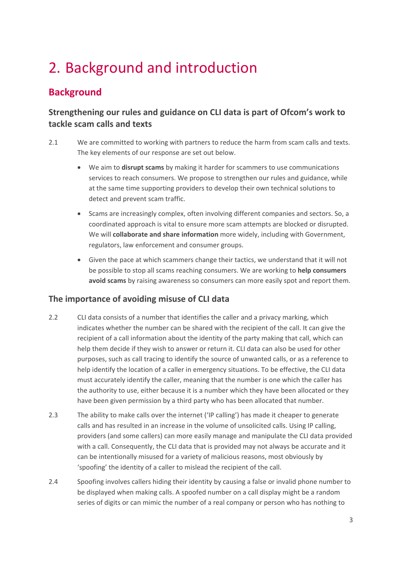# <span id="page-4-0"></span>2. Background and introduction

## **Background**

### **Strengthening our rules and guidance on CLI data is part of Ofcom's work to tackle scam calls and texts**

- 2.1 We are committed to working with partners to reduce the harm from scam calls and texts. The key elements of our response are set out below.
	- We aim to **disrupt scams** by making it harder for scammers to use communications services to reach consumers. We propose to strengthen our rules and guidance, while at the same time supporting providers to develop their own technical solutions to detect and prevent scam traffic.
	- Scams are increasingly complex, often involving different companies and sectors. So, a coordinated approach is vital to ensure more scam attempts are blocked or disrupted. We will **collaborate and share information** more widely, including with Government, regulators, law enforcement and consumer groups.
	- Given the pace at which scammers change their tactics, we understand that it will not be possible to stop all scams reaching consumers. We are working to **help consumers avoid scams** by raising awareness so consumers can more easily spot and report them.

### **The importance of avoiding misuse of CLI data**

- 2.2 CLI data consists of a number that identifies the caller and a privacy marking, which indicates whether the number can be shared with the recipient of the call. It can give the recipient of a call information about the identity of the party making that call, which can help them decide if they wish to answer or return it. CLI data can also be used for other purposes, such as call tracing to identify the source of unwanted calls, or as a reference to help identify the location of a caller in emergency situations. To be effective, the CLI data must accurately identify the caller, meaning that the number is one which the caller has the authority to use, either because it is a number which they have been allocated or they have been given permission by a third party who has been allocated that number.
- 2.3 The ability to make calls over the internet ('IP calling') has made it cheaper to generate calls and has resulted in an increase in the volume of unsolicited calls. Using IP calling, providers (and some callers) can more easily manage and manipulate the CLI data provided with a call. Consequently, the CLI data that is provided may not always be accurate and it can be intentionally misused for a variety of malicious reasons, most obviously by 'spoofing' the identity of a caller to mislead the recipient of the call.
- 2.4 Spoofing involves callers hiding their identity by causing a false or invalid phone number to be displayed when making calls. A spoofed number on a call display might be a random series of digits or can mimic the number of a real company or person who has nothing to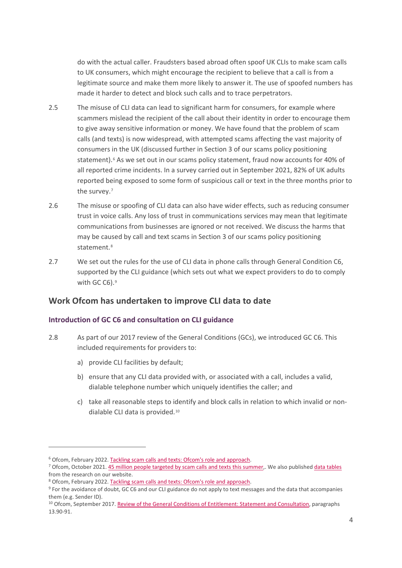do with the actual caller. Fraudsters based abroad often spoof UK CLIs to make scam calls to UK consumers, which might encourage the recipient to believe that a call is from a legitimate source and make them more likely to answer it. The use of spoofed numbers has made it harder to detect and block such calls and to trace perpetrators.

- 2.5 The misuse of CLI data can lead to significant harm for consumers, for example where scammers mislead the recipient of the call about their identity in order to encourage them to give away sensitive information or money. We have found that the problem of scam calls (and texts) is now widespread, with attempted scams affecting the vast majority of consumers in the UK (discussed further in Section 3 of our scams policy positioning statement).<sup>[6](#page-5-0)</sup> As we set out in our scams policy statement, fraud now accounts for 40% of all reported crime incidents. In a survey carried out in September 2021, 82% of UK adults reported being exposed to some form of suspicious call or text in the three months prior to the survey.[7](#page-5-1)
- 2.6 The misuse or spoofing of CLI data can also have wider effects, such as reducing consumer trust in voice calls. Any loss of trust in communications services may mean that legitimate communications from businesses are ignored or not received. We discuss the harms that may be caused by call and text scams in Section 3 of our scams policy positioning statement.<sup>[8](#page-5-2)</sup>
- 2.7 We set out the rules for the use of CLI data in phone calls through General Condition C6, supported by the CLI guidance (which sets out what we expect providers to do to comply with GC C6).<sup>[9](#page-5-3)</sup>

#### **Work Ofcom has undertaken to improve CLI data to date**

#### **Introduction of GC C6 and consultation on CLI guidance**

- 2.8 As part of our 2017 review of the General Conditions (GCs), we introduced GC C6. This included requirements for providers to:
	- a) provide CLI facilities by default;
	- b) ensure that any CLI data provided with, or associated with a call, includes a valid, dialable telephone number which uniquely identifies the caller; and
	- c) take all reasonable steps to identify and block calls in relation to which invalid or nondialable CLI data is provided.[10](#page-5-4)

<span id="page-5-0"></span><sup>&</sup>lt;sup>6</sup> Ofcom, February 2022[. Tackling scam calls and texts: Ofcom's role and approach.](https://www.ofcom.org.uk/__data/assets/pdf_file/0018/232074/statement-tackling-scam-calls-and-texts.pdf)

<span id="page-5-1"></span><sup>&</sup>lt;sup>7</sup> Ofcom, October 2021[. 45 million people targeted by scam calls and texts this summer,](https://www.ofcom.org.uk/news-centre/2021/45-million-people-targeted-by-scams). We also publishe[d data tables](https://www.ofcom.org.uk/__data/assets/pdf_file/0034/226996/ofcom-scams-survey-2021-data-tables.pdf) from the research on our website.

<span id="page-5-2"></span><sup>8</sup> Ofcom, February 2022[. Tackling scam calls and texts: Ofcom's role and approach.](https://www.ofcom.org.uk/__data/assets/pdf_file/0018/232074/statement-tackling-scam-calls-and-texts.pdf)

<span id="page-5-3"></span><sup>9</sup> For the avoidance of doubt, GC C6 and our CLI guidance do not apply to text messages and the data that accompanies them (e.g. Sender ID).

<span id="page-5-4"></span><sup>&</sup>lt;sup>10</sup> Ofcom, September 2017. [Review of the General Conditions of Entitlement: Statement and Consultation,](https://www.ofcom.org.uk/__data/assets/pdf_file/0026/106397/Statement-and-Consultation-Review-of-the-General-Conditions-of-Entitlement.pdf) paragraphs 13.90-91.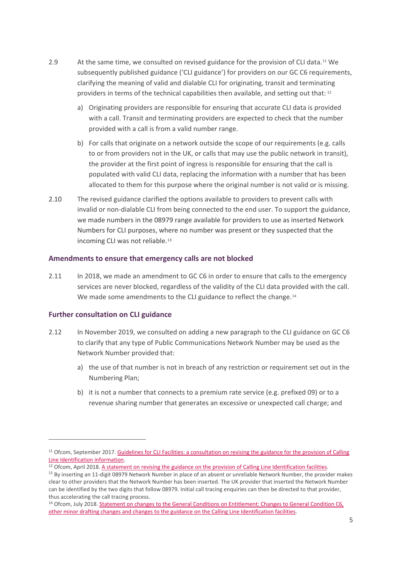- 2.9 At the same time, we consulted on revised guidance for the provision of CLI data.[11](#page-6-0) We subsequently published guidance ('CLI guidance') for providers on our GC C6 requirements, clarifying the meaning of valid and dialable CLI for originating, transit and terminating providers in terms of the technical capabilities then available, and setting out that: [12](#page-6-1)
	- a) Originating providers are responsible for ensuring that accurate CLI data is provided with a call. Transit and terminating providers are expected to check that the number provided with a call is from a valid number range.
	- b) For calls that originate on a network outside the scope of our requirements (e.g. calls to or from providers not in the UK, or calls that may use the public network in transit), the provider at the first point of ingress is responsible for ensuring that the call is populated with valid CLI data, replacing the information with a number that has been allocated to them for this purpose where the original number is not valid or is missing.
- 2.10 The revised guidance clarified the options available to providers to prevent calls with invalid or non-dialable CLI from being connected to the end user. To support the guidance, we made numbers in the 08979 range available for providers to use as inserted Network Numbers for CLI purposes, where no number was present or they suspected that the incoming CLI was not reliable.<sup>[13](#page-6-2)</sup>

#### **Amendments to ensure that emergency calls are not blocked**

2.11 In 2018, we made an amendment to GC C6 in order to ensure that calls to the emergency services are never blocked, regardless of the validity of the CLI data provided with the call. We made some amendments to the CLI guidance to reflect the change.<sup>[14](#page-6-3)</sup>

#### **Further consultation on CLI guidance**

- 2.12 In November 2019, we consulted on adding a new paragraph to the CLI guidance on GC C6 to clarify that any type of Public Communications Network Number may be used as the Network Number provided that:
	- a) the use of that number is not in breach of any restriction or requirement set out in the Numbering Plan;
	- b) it is not a number that connects to a premium rate service (e.g. prefixed 09) or to a revenue sharing number that generates an excessive or unexpected call charge; and

<span id="page-6-0"></span><sup>&</sup>lt;sup>11</sup> Ofcom, September 2017. Guidelines for CLI Facilities: a consultation on revising the guidance for the provision of Calling [Line Identification information.](https://www.ofcom.org.uk/__data/assets/pdf_file/0020/106391/Guidelines-for-CLI-Facilities.pdf)

<span id="page-6-1"></span><sup>&</sup>lt;sup>12</sup> Ofcom, April 2018[. A statement on revising the guidance on the provision of Calling Line Identification facilities.](https://www.ofcom.org.uk/__data/assets/pdf_file/0012/113214/statement-guidelines-cli-facilities.pdf)

<span id="page-6-2"></span><sup>&</sup>lt;sup>13</sup> By inserting an 11-digit 08979 Network Number in place of an absent or unreliable Network Number, the provider makes clear to other providers that the Network Number has been inserted. The UK provider that inserted the Network Number can be identified by the two digits that follow 08979. Initial call tracing enquiries can then be directed to that provider, thus accelerating the call tracing process.

<span id="page-6-3"></span><sup>&</sup>lt;sup>14</sup> Ofcom, July 2018. Statement on changes to the General Conditions on Entitlement: Changes to General Condition C6, [other minor drafting changes and changes to the guidance on the Calling Line Identification facilities.](https://www.ofcom.org.uk/__data/assets/pdf_file/0023/116348/statement-changes-general-conditions.pdf)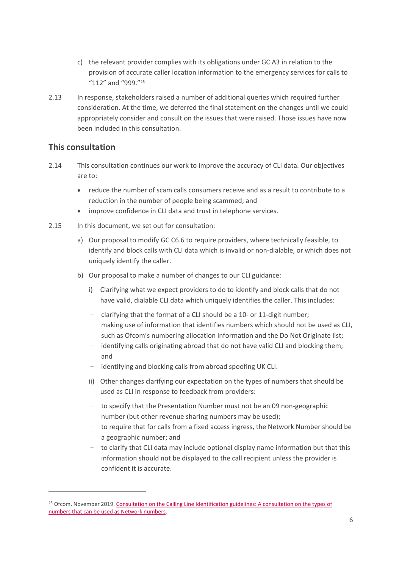- c) the relevant provider complies with its obligations under GC A3 in relation to the provision of accurate caller location information to the emergency services for calls to "112" and "999."[15](#page-7-0)
- 2.13 In response, stakeholders raised a number of additional queries which required further consideration. At the time, we deferred the final statement on the changes until we could appropriately consider and consult on the issues that were raised. Those issues have now been included in this consultation.

#### **This consultation**

- 2.14 This consultation continues our work to improve the accuracy of CLI data. Our objectives are to:
	- reduce the number of scam calls consumers receive and as a result to contribute to a reduction in the number of people being scammed; and
	- improve confidence in CLI data and trust in telephone services.
- 2.15 In this document, we set out for consultation:
	- a) Our proposal to modify GC C6.6 to require providers, where technically feasible, to identify and block calls with CLI data which is invalid or non-dialable, or which does not uniquely identify the caller.
	- b) Our proposal to make a number of changes to our CLI guidance:
		- i) Clarifying what we expect providers to do to identify and block calls that do not have valid, dialable CLI data which uniquely identifies the caller. This includes:
		- clarifying that the format of a CLI should be a 10- or 11-digit number;
		- making use of information that identifies numbers which should not be used as CLI, such as Ofcom's numbering allocation information and the Do Not Originate list;
		- identifying calls originating abroad that do not have valid CLI and blocking them; and
		- identifying and blocking calls from abroad spoofing UK CLI.
		- ii) Other changes clarifying our expectation on the types of numbers that should be used as CLI in response to feedback from providers:
		- to specify that the Presentation Number must not be an 09 non-geographic number (but other revenue sharing numbers may be used);
		- to require that for calls from a fixed access ingress, the Network Number should be a geographic number; and
		- to clarify that CLI data may include optional display name information but that this information should not be displayed to the call recipient unless the provider is confident it is accurate.

<span id="page-7-0"></span><sup>&</sup>lt;sup>15</sup> Ofcom, November 2019. Consultation on the Calling Line Identification guidelines: A consultation on the types of [numbers that can be used as Network numbers.](https://www.ofcom.org.uk/__data/assets/pdf_file/0034/176794/consultation-on-the-calling-line-identification-guidelines.pdf)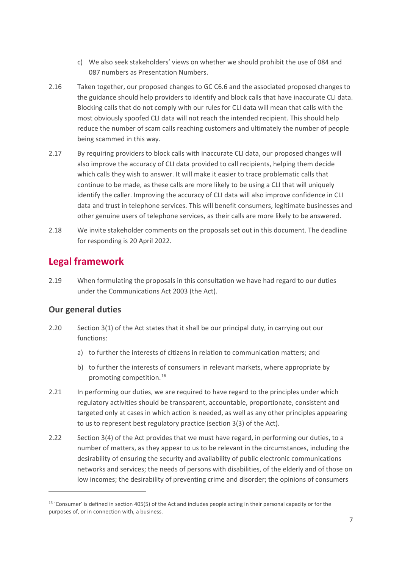- c) We also seek stakeholders' views on whether we should prohibit the use of 084 and 087 numbers as Presentation Numbers.
- 2.16 Taken together, our proposed changes to GC C6.6 and the associated proposed changes to the guidance should help providers to identify and block calls that have inaccurate CLI data. Blocking calls that do not comply with our rules for CLI data will mean that calls with the most obviously spoofed CLI data will not reach the intended recipient. This should help reduce the number of scam calls reaching customers and ultimately the number of people being scammed in this way.
- 2.17 By requiring providers to block calls with inaccurate CLI data, our proposed changes will also improve the accuracy of CLI data provided to call recipients, helping them decide which calls they wish to answer. It will make it easier to trace problematic calls that continue to be made, as these calls are more likely to be using a CLI that will uniquely identify the caller. Improving the accuracy of CLI data will also improve confidence in CLI data and trust in telephone services. This will benefit consumers, legitimate businesses and other genuine users of telephone services, as their calls are more likely to be answered.
- 2.18 We invite stakeholder comments on the proposals set out in this document. The deadline for responding is 20 April 2022.

### **Legal framework**

2.19 When formulating the proposals in this consultation we have had regard to our duties under the Communications Act 2003 (the Act).

#### **Our general duties**

- 2.20 Section 3(1) of the Act states that it shall be our principal duty, in carrying out our functions:
	- a) to further the interests of citizens in relation to communication matters; and
	- b) to further the interests of consumers in relevant markets, where appropriate by promoting competition.[16](#page-8-0)
- 2.21 In performing our duties, we are required to have regard to the principles under which regulatory activities should be transparent, accountable, proportionate, consistent and targeted only at cases in which action is needed, as well as any other principles appearing to us to represent best regulatory practice (section 3(3) of the Act).
- 2.22 Section 3(4) of the Act provides that we must have regard, in performing our duties, to a number of matters, as they appear to us to be relevant in the circumstances, including the desirability of ensuring the security and availability of public electronic communications networks and services; the needs of persons with disabilities, of the elderly and of those on low incomes; the desirability of preventing crime and disorder; the opinions of consumers

<span id="page-8-0"></span><sup>&</sup>lt;sup>16</sup> 'Consumer' is defined in section 405(5) of the Act and includes people acting in their personal capacity or for the purposes of, or in connection with, a business.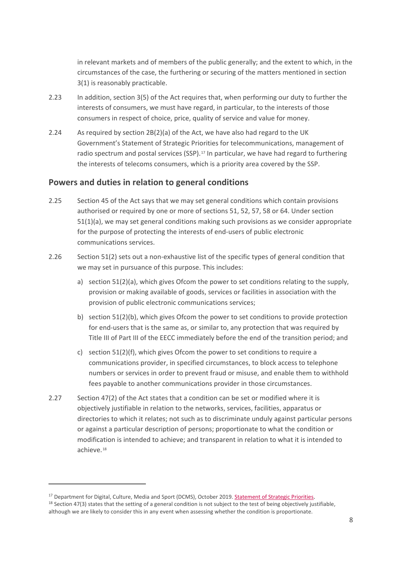in relevant markets and of members of the public generally; and the extent to which, in the circumstances of the case, the furthering or securing of the matters mentioned in section 3(1) is reasonably practicable.

- 2.23 In addition, section 3(5) of the Act requires that, when performing our duty to further the interests of consumers, we must have regard, in particular, to the interests of those consumers in respect of choice, price, quality of service and value for money.
- 2.24 As required by section 2B(2)(a) of the Act, we have also had regard to the UK Government's Statement of Strategic Priorities for telecommunications, management of radio spectrum and postal services (SSP).<sup>[17](#page-9-0)</sup> In particular, we have had regard to furthering the interests of telecoms consumers, which is a priority area covered by the SSP.

#### **Powers and duties in relation to general conditions**

- 2.25 Section 45 of the Act says that we may set general conditions which contain provisions authorised or required by one or more of sections 51, 52, 57, 58 or 64. Under section 51(1)(a), we may set general conditions making such provisions as we consider appropriate for the purpose of protecting the interests of end-users of public electronic communications services.
- 2.26 Section 51(2) sets out a non-exhaustive list of the specific types of general condition that we may set in pursuance of this purpose. This includes:
	- a) section 51(2)(a), which gives Ofcom the power to set conditions relating to the supply, provision or making available of goods, services or facilities in association with the provision of public electronic communications services;
	- b) section 51(2)(b), which gives Ofcom the power to set conditions to provide protection for end-users that is the same as, or similar to, any protection that was required by Title III of Part III of the EECC immediately before the end of the transition period; and
	- c) section  $51(2)(f)$ , which gives Ofcom the power to set conditions to require a communications provider, in specified circumstances, to block access to telephone numbers or services in order to prevent fraud or misuse, and enable them to withhold fees payable to another communications provider in those circumstances.
- 2.27 Section 47(2) of the Act states that a condition can be set or modified where it is objectively justifiable in relation to the networks, services, facilities, apparatus or directories to which it relates; not such as to discriminate unduly against particular persons or against a particular description of persons; proportionate to what the condition or modification is intended to achieve; and transparent in relation to what it is intended to achieve.[18](#page-9-1)

<span id="page-9-0"></span><sup>&</sup>lt;sup>17</sup> Department for Digital, Culture, Media and Sport (DCMS), October 2019[. Statement of Strategic Priorities.](https://assets.publishing.service.gov.uk/government/uploads/system/uploads/attachment_data/file/952627/SSP_-_as_designated_by_S_of_S__V2.pdf)

<span id="page-9-1"></span><sup>&</sup>lt;sup>18</sup> Section 47(3) states that the setting of a general condition is not subject to the test of being objectively justifiable, although we are likely to consider this in any event when assessing whether the condition is proportionate.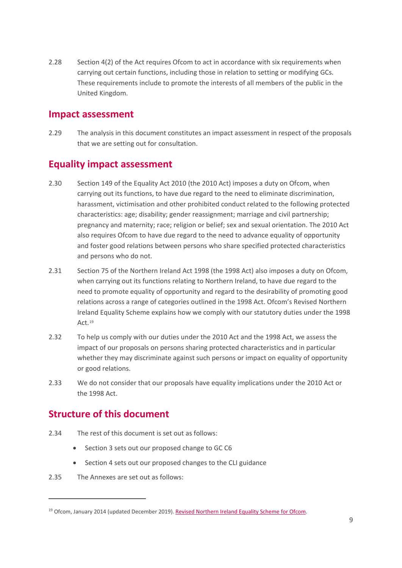2.28 Section 4(2) of the Act requires Ofcom to act in accordance with six requirements when carrying out certain functions, including those in relation to setting or modifying GCs. These requirements include to promote the interests of all members of the public in the United Kingdom.

### **Impact assessment**

2.29 The analysis in this document constitutes an impact assessment in respect of the proposals that we are setting out for consultation.

### **Equality impact assessment**

- 2.30 Section 149 of the Equality Act 2010 (the 2010 Act) imposes a duty on Ofcom, when carrying out its functions, to have due regard to the need to eliminate discrimination, harassment, victimisation and other prohibited conduct related to the following protected characteristics: age; disability; gender reassignment; marriage and civil partnership; pregnancy and maternity; race; religion or belief; sex and sexual orientation. The 2010 Act also requires Ofcom to have due regard to the need to advance equality of opportunity and foster good relations between persons who share specified protected characteristics and persons who do not.
- 2.31 Section 75 of the Northern Ireland Act 1998 (the 1998 Act) also imposes a duty on Ofcom, when carrying out its functions relating to Northern Ireland, to have due regard to the need to promote equality of opportunity and regard to the desirability of promoting good relations across a range of categories outlined in the 1998 Act. Ofcom's Revised Northern Ireland Equality Scheme explains how we comply with our statutory duties under the 1998 Act.<sup>[19](#page-10-0)</sup>
- 2.32 To help us comply with our duties under the 2010 Act and the 1998 Act, we assess the impact of our proposals on persons sharing protected characteristics and in particular whether they may discriminate against such persons or impact on equality of opportunity or good relations.
- 2.33 We do not consider that our proposals have equality implications under the 2010 Act or the 1998 Act.

### **Structure of this document**

- 2.34 The rest of this document is set out as follows:
	- Section 3 sets out our proposed change to GC C6
	- Section 4 sets out our proposed changes to the CLI guidance
- 2.35 The Annexes are set out as follows:

<span id="page-10-0"></span><sup>&</sup>lt;sup>19</sup> Ofcom, January 2014 (updated December 2019)[. Revised Northern Ireland Equality Scheme for Ofcom.](https://www.ofcom.org.uk/__data/assets/pdf_file/0023/123737/Revised-NI-Equality-Scheme.pdf)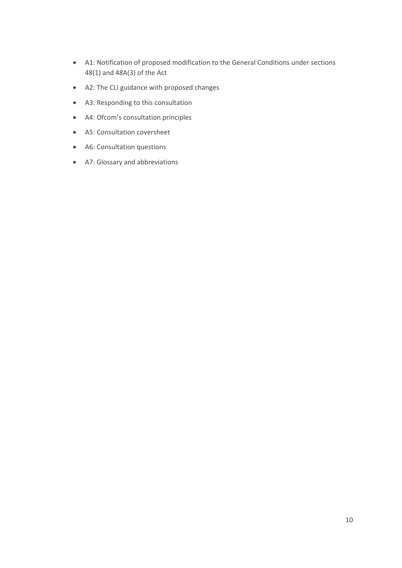- A1: Notification of proposed modification to the General Conditions under sections 48(1) and 48A(3) of the Act
- A2: The CLI guidance with proposed changes
- A3: Responding to this consultation
- A4: Ofcom's consultation principles
- A5: Consultation coversheet
- A6: Consultation questions
- A7: Glossary and abbreviations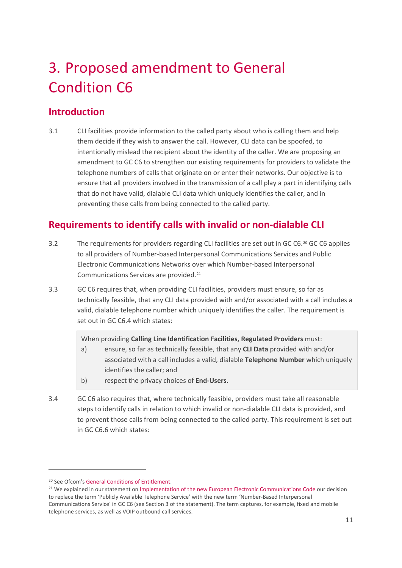# <span id="page-12-0"></span>3. Proposed amendment to General Condition C6

## **Introduction**

3.1 CLI facilities provide information to the called party about who is calling them and help them decide if they wish to answer the call. However, CLI data can be spoofed, to intentionally mislead the recipient about the identity of the caller. We are proposing an amendment to GC C6 to strengthen our existing requirements for providers to validate the telephone numbers of calls that originate on or enter their networks. Our objective is to ensure that all providers involved in the transmission of a call play a part in identifying calls that do not have valid, dialable CLI data which uniquely identifies the caller, and in preventing these calls from being connected to the called party.

## **Requirements to identify calls with invalid or non-dialable CLI**

- 3.2 The requirements for providers regarding CLI facilities are set out in GC C6.[20](#page-12-1) GC C6 applies to all providers of Number-based Interpersonal Communications Services and Public Electronic Communications Networks over which Number-based Interpersonal Communications Services are provided.[21](#page-12-2)
- 3.3 GC C6 requires that, when providing CLI facilities, providers must ensure, so far as technically feasible, that any CLI data provided with and/or associated with a call includes a valid, dialable telephone number which uniquely identifies the caller. The requirement is set out in GC C6.4 which states:

When providing **Calling Line Identification Facilities, Regulated Providers** must:

- a) ensure, so far as technically feasible, that any **CLI Data** provided with and/or associated with a call includes a valid, dialable **Telephone Number** which uniquely identifies the caller; and
- b) respect the privacy choices of **End-Users.**
- 3.4 GC C6 also requires that, where technically feasible, providers must take all reasonable steps to identify calls in relation to which invalid or non-dialable CLI data is provided, and to prevent those calls from being connected to the called party. This requirement is set out in GC C6.6 which states:

<span id="page-12-1"></span><sup>&</sup>lt;sup>20</sup> See Ofcom's [General Conditions of Entitlement.](https://www.ofcom.org.uk/phones-telecoms-and-internet/information-for-industry/telecoms-competition-regulation/general-conditions-of-entitlement)

<span id="page-12-2"></span><sup>&</sup>lt;sup>21</sup> We explained in our statement on *Implementation of the new European Electronic Communications Code our decision* to replace the term 'Publicly Available Telephone Service' with the new term 'Number-Based Interpersonal Communications Service' in GC C6 (see Section 3 of the statement). The term captures, for example, fixed and mobile telephone services, as well as VOIP outbound call services.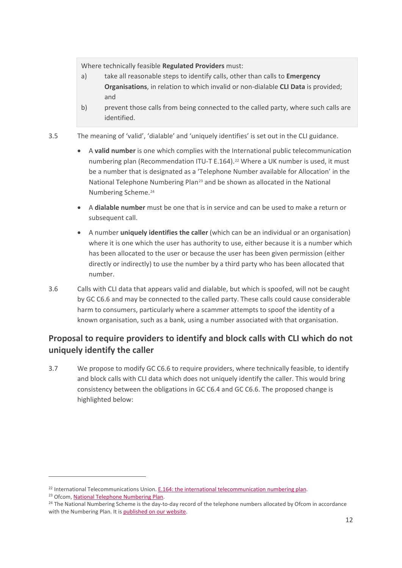Where technically feasible **Regulated Providers** must:

- a) take all reasonable steps to identify calls, other than calls to **Emergency Organisations**, in relation to which invalid or non-dialable **CLI Data** is provided; and
- b) prevent those calls from being connected to the called party, where such calls are identified.
- <span id="page-13-3"></span>3.5 The meaning of 'valid', 'dialable' and 'uniquely identifies' is set out in the CLI guidance.
	- A **valid number** is one which complies with the International public telecommunication numbering plan (Recommendation ITU-T E.164).<sup>[22](#page-13-0)</sup> Where a UK number is used, it must be a number that is designated as a 'Telephone Number available for Allocation' in the National Telephone Numbering Plan<sup>[23](#page-13-1)</sup> and be shown as allocated in the National Numbering Scheme.[24](#page-13-2)
	- A **dialable number** must be one that is in service and can be used to make a return or subsequent call.
	- A number **uniquely identifies the caller** (which can be an individual or an organisation) where it is one which the user has authority to use, either because it is a number which has been allocated to the user or because the user has been given permission (either directly or indirectly) to use the number by a third party who has been allocated that number.
- 3.6 Calls with CLI data that appears valid and dialable, but which is spoofed, will not be caught by GC C6.6 and may be connected to the called party. These calls could cause considerable harm to consumers, particularly where a scammer attempts to spoof the identity of a known organisation, such as a bank, using a number associated with that organisation.

### **Proposal to require providers to identify and block calls with CLI which do not uniquely identify the caller**

3.7 We propose to modify GC C6.6 to require providers, where technically feasible, to identify and block calls with CLI data which does not uniquely identify the caller. This would bring consistency between the obligations in GC C6.4 and GC C6.6. The proposed change is highlighted below:

<span id="page-13-2"></span>

<span id="page-13-1"></span><span id="page-13-0"></span><sup>&</sup>lt;sup>22</sup> International Telecommunications Union[. E.164: the international telecommunication numbering plan.](https://www.itu.int/rec/T-REC-E.164/en)<br><sup>23</sup> Ofcom, <u>National Telephone Numbering Plan</u>.<br><sup>24</sup> The National Numbering Scheme is the day-to-day record of the te with the Numbering Plan. It i[s published on our website.](https://www.ofcom.org.uk/phones-telecoms-and-internet/information-for-industry/numbering/numbering-data)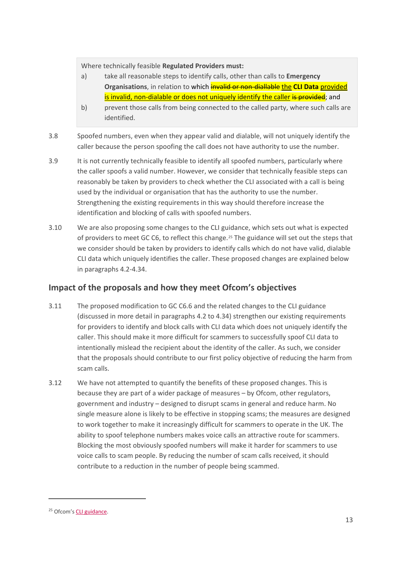Where technically feasible **Regulated Providers must:**

- a) take all reasonable steps to identify calls, other than calls to **Emergency Organisations**, in relation to which **invalid or non-diallable the CLI Data** provided is invalid, non-dialable or does not uniquely identify the caller is provided; and
- b) prevent those calls from being connected to the called party, where such calls are identified.
- 3.8 Spoofed numbers, even when they appear valid and dialable, will not uniquely identify the caller because the person spoofing the call does not have authority to use the number.
- 3.9 It is not currently technically feasible to identify all spoofed numbers, particularly where the caller spoofs a valid number. However, we consider that technically feasible steps can reasonably be taken by providers to check whether the CLI associated with a call is being used by the individual or organisation that has the authority to use the number. Strengthening the existing requirements in this way should therefore increase the identification and blocking of calls with spoofed numbers.
- 3.10 We are also proposing some changes to the CLI guidance, which sets out what is expected of providers to meet GC C6, to reflect this change.[25](#page-14-0) The guidance will set out the steps that we consider should be taken by providers to identify calls which do not have valid, dialable CLI data which uniquely identifies the caller. These proposed changes are explained below in paragraphs [4.2](#page-17-1)[-4.34.](#page-22-0)

#### **Impact of the proposals and how they meet Ofcom's objectives**

- <span id="page-14-1"></span>3.11 The proposed modification to GC C6.6 and the related changes to the CLI guidance (discussed in more detail in paragraphs 4.2 to [4.34\)](#page-22-0) strengthen our existing requirements for providers to identify and block calls with CLI data which does not uniquely identify the caller. This should make it more difficult for scammers to successfully spoof CLI data to intentionally mislead the recipient about the identity of the caller. As such, we consider that the proposals should contribute to our first policy objective of reducing the harm from scam calls.
- 3.12 We have not attempted to quantify the benefits of these proposed changes. This is because they are part of a wider package of measures – by Ofcom, other regulators, government and industry – designed to disrupt scams in general and reduce harm. No single measure alone is likely to be effective in stopping scams; the measures are designed to work together to make it increasingly difficult for scammers to operate in the UK. The ability to spoof telephone numbers makes voice calls an attractive route for scammers. Blocking the most obviously spoofed numbers will make it harder for scammers to use voice calls to scam people. By reducing the number of scam calls received, it should contribute to a reduction in the number of people being scammed.

<span id="page-14-0"></span><sup>25</sup> Ofcom'[s CLI guidance.](https://www.ofcom.org.uk/__data/assets/pdf_file/0021/116670/cli-guidance.pdf)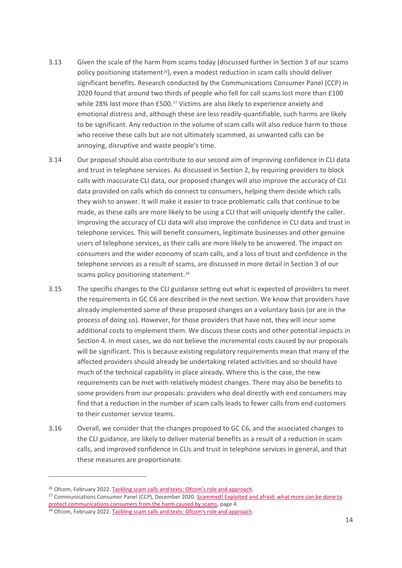- 3.13 Given the scale of the harm from scams today (discussed further in Section 3 of our scams policy positioning statement<sup>[26](#page-15-0)</sup>), even a modest reduction in scam calls should deliver significant benefits. Research conducted by the Communications Consumer Panel (CCP) in 2020 found that around two thirds of people who fell for call scams lost more than £100 while 28% lost more than £500.<sup>[27](#page-15-1)</sup> Victims are also likely to experience anxiety and emotional distress and, although these are less readily-quantifiable, such harms are likely to be significant. Any reduction in the volume of scam calls will also reduce harm to those who receive these calls but are not ultimately scammed, as unwanted calls can be annoying, disruptive and waste people's time.
- 3.14 Our proposal should also contribute to our second aim of improving confidence in CLI data and trust in telephone services. As discussed in Section 2, by requiring providers to block calls with inaccurate CLI data, our proposed changes will also improve the accuracy of CLI data provided on calls which do connect to consumers, helping them decide which calls they wish to answer. It will make it easier to trace problematic calls that continue to be made, as these calls are more likely to be using a CLI that will uniquely identify the caller. Improving the accuracy of CLI data will also improve the confidence in CLI data and trust in telephone services. This will benefit consumers, legitimate businesses and other genuine users of telephone services, as their calls are more likely to be answered. The impact on consumers and the wider economy of scam calls, and a loss of trust and confidence in the telephone services as a result of scams, are discussed in more detail in Section 3 of our scams policy positioning statement.<sup>[28](#page-15-2)</sup>
- 3.15 The specific changes to the CLI guidance setting out what is expected of providers to meet the requirements in GC C6 are described in the next section. We know that providers have already implemented some of these proposed changes on a voluntary basis (or are in the process of doing so). However, for those providers that have not, they will incur some additional costs to implement them. We discuss these costs and other potential impacts in Section 4. In most cases, we do not believe the incremental costs caused by our proposals will be significant. This is because existing regulatory requirements mean that many of the affected providers should already be undertaking related activities and so should have much of the technical capability in place already. Where this is the case, the new requirements can be met with relatively modest changes. There may also be benefits to some providers from our proposals: providers who deal directly with end consumers may find that a reduction in the number of scam calls leads to fewer calls from end customers to their customer service teams.
- 3.16 Overall, we consider that the changes proposed to GC C6, and the associated changes to the CLI guidance, are likely to deliver material benefits as a result of a reduction in scam calls, and improved confidence in CLIs and trust in telephone services in general, and that these measures are proportionate.

<span id="page-15-0"></span><sup>&</sup>lt;sup>26</sup> Ofcom, February 2022. Tackling scam [calls and texts: Ofcom's role and approach.](https://www.ofcom.org.uk/__data/assets/pdf_file/0018/232074/statement-tackling-scam-calls-and-texts.pdf)

<span id="page-15-1"></span><sup>&</sup>lt;sup>27</sup> Communications Consumer Panel (CCP), December 2020. Scammed! Exploited and afraid: what more can be done to [protect communications consumers from the harm caused by scams,](https://www.communicationsconsumerpanel.org.uk/downloads/ccpscammeddecember2020.pdf) page 4.

<span id="page-15-2"></span><sup>&</sup>lt;sup>28</sup> Ofcom, February 2022[. Tackling scam calls and texts: Ofcom's role and approach.](https://www.ofcom.org.uk/__data/assets/pdf_file/0018/232074/statement-tackling-scam-calls-and-texts.pdf)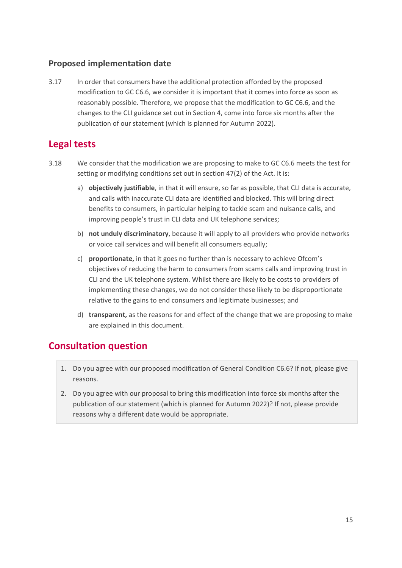#### **Proposed implementation date**

<span id="page-16-0"></span>3.17 In order that consumers have the additional protection afforded by the proposed modification to GC C6.6, we consider it is important that it comes into force as soon as reasonably possible. Therefore, we propose that the modification to GC C6.6, and the changes to the CLI guidance set out in Section 4, come into force six months after the publication of our statement (which is planned for Autumn 2022).

### **Legal tests**

- 3.18 We consider that the modification we are proposing to make to GC C6.6 meets the test for setting or modifying conditions set out in section 47(2) of the Act. It is:
	- a) **objectively justifiable**, in that it will ensure, so far as possible, that CLI data is accurate, and calls with inaccurate CLI data are identified and blocked. This will bring direct benefits to consumers, in particular helping to tackle scam and nuisance calls, and improving people's trust in CLI data and UK telephone services;
	- b) **not unduly discriminatory**, because it will apply to all providers who provide networks or voice call services and will benefit all consumers equally;
	- c) **proportionate,** in that it goes no further than is necessary to achieve Ofcom's objectives of reducing the harm to consumers from scams calls and improving trust in CLI and the UK telephone system. Whilst there are likely to be costs to providers of implementing these changes, we do not consider these likely to be disproportionate relative to the gains to end consumers and legitimate businesses; and
	- d) **transparent,** as the reasons for and effect of the change that we are proposing to make are explained in this document.

## **Consultation question**

- 1. Do you agree with our proposed modification of General Condition C6.6? If not, please give reasons.
- 2. Do you agree with our proposal to bring this modification into force six months after the publication of our statement (which is planned for Autumn 2022)? If not, please provide reasons why a different date would be appropriate.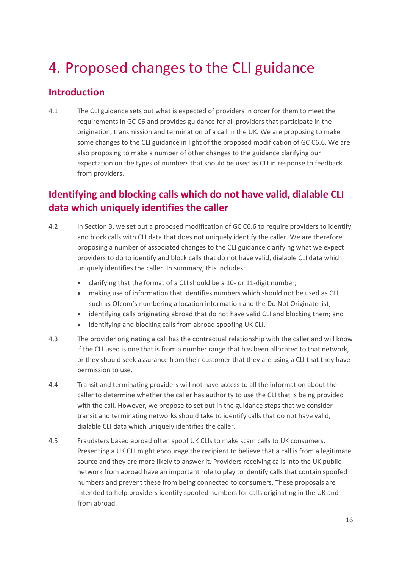# <span id="page-17-0"></span>4. Proposed changes to the CLI guidance

### **Introduction**

4.1 The CLI guidance sets out what is expected of providers in order for them to meet the requirements in GC C6 and provides guidance for all providers that participate in the origination, transmission and termination of a call in the UK. We are proposing to make some changes to the CLI guidance in light of the proposed modification of GC C6.6. We are also proposing to make a number of other changes to the guidance clarifying our expectation on the types of numbers that should be used as CLI in response to feedback from providers.

## **Identifying and blocking calls which do not have valid, dialable CLI data which uniquely identifies the caller**

- <span id="page-17-1"></span>4.2 In Section [3,](#page-12-0) we set out a proposed modification of GC C6.6 to require providers to identify and block calls with CLI data that does not uniquely identify the caller. We are therefore proposing a number of associated changes to the CLI guidance clarifying what we expect providers to do to identify and block calls that do not have valid, dialable CLI data which uniquely identifies the caller. In summary, this includes:
	- clarifying that the format of a CLI should be a 10- or 11-digit number;
	- making use of information that identifies numbers which should not be used as CLI, such as Ofcom's numbering allocation information and the Do Not Originate list;
	- identifying calls originating abroad that do not have valid CLI and blocking them; and
	- identifying and blocking calls from abroad spoofing UK CLI.
- 4.3 The provider originating a call has the contractual relationship with the caller and will know if the CLI used is one that is from a number range that has been allocated to that network, or they should seek assurance from their customer that they are using a CLI that they have permission to use.
- 4.4 Transit and terminating providers will not have access to all the information about the caller to determine whether the caller has authority to use the CLI that is being provided with the call. However, we propose to set out in the guidance steps that we consider transit and terminating networks should take to identify calls that do not have valid, dialable CLI data which uniquely identifies the caller.
- 4.5 Fraudsters based abroad often spoof UK CLIs to make scam calls to UK consumers. Presenting a UK CLI might encourage the recipient to believe that a call is from a legitimate source and they are more likely to answer it. Providers receiving calls into the UK public network from abroad have an important role to play to identify calls that contain spoofed numbers and prevent these from being connected to consumers. These proposals are intended to help providers identify spoofed numbers for calls originating in the UK and from abroad.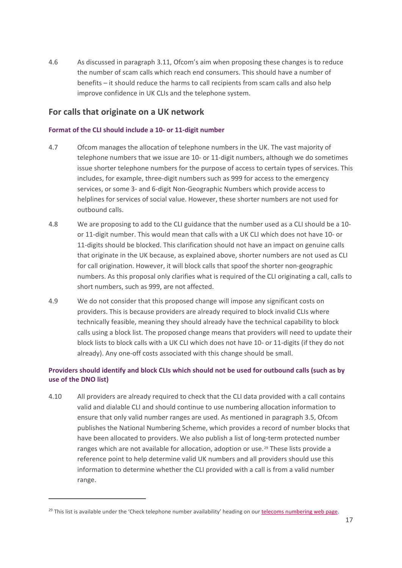4.6 As discussed in paragraph [3.11,](#page-14-1) Ofcom's aim when proposing these changes is to reduce the number of scam calls which reach end consumers. This should have a number of benefits – it should reduce the harms to call recipients from scam calls and also help improve confidence in UK CLIs and the telephone system.

#### **For calls that originate on a UK network**

#### **Format of the CLI should include a 10- or 11-digit number**

- 4.7 Ofcom manages the allocation of telephone numbers in the UK. The vast majority of telephone numbers that we issue are 10- or 11-digit numbers, although we do sometimes issue shorter telephone numbers for the purpose of access to certain types of services. This includes, for example, three-digit numbers such as 999 for access to the emergency services, or some 3- and 6-digit Non-Geographic Numbers which provide access to helplines for services of social value. However, these shorter numbers are not used for outbound calls.
- 4.8 We are proposing to add to the CLI guidance that the number used as a CLI should be a 10 or 11-digit number. This would mean that calls with a UK CLI which does not have 10- or 11-digits should be blocked. This clarification should not have an impact on genuine calls that originate in the UK because, as explained above, shorter numbers are not used as CLI for call origination. However, it will block calls that spoof the shorter non-geographic numbers. As this proposal only clarifies what is required of the CLI originating a call, calls to short numbers, such as 999, are not affected.
- 4.9 We do not consider that this proposed change will impose any significant costs on providers. This is because providers are already required to block invalid CLIs where technically feasible, meaning they should already have the technical capability to block calls using a block list. The proposed change means that providers will need to update their block lists to block calls with a UK CLI which does not have 10- or 11-digits (if they do not already). Any one-off costs associated with this change should be small.

#### **Providers should identify and block CLIs which should not be used for outbound calls (such as by use of the DNO list)**

4.10 All providers are already required to check that the CLI data provided with a call contains valid and dialable CLI and should continue to use numbering allocation information to ensure that only valid number ranges are used. As mentioned in paragrap[h 3.5,](#page-13-3) Ofcom publishes the National Numbering Scheme, which provides a record of number blocks that have been allocated to providers. We also publish a list of long-term protected number ranges which are not available for allocation, adoption or use.<sup>[29](#page-18-0)</sup> These lists provide a reference point to help determine valid UK numbers and all providers should use this information to determine whether the CLI provided with a call is from a valid number range.

<span id="page-18-0"></span> $^{29}$  This list is available under the 'Check telephone number availability' heading on ou[r telecoms numbering web page.](https://www.ofcom.org.uk/phones-telecoms-and-internet/information-for-industry/numbering)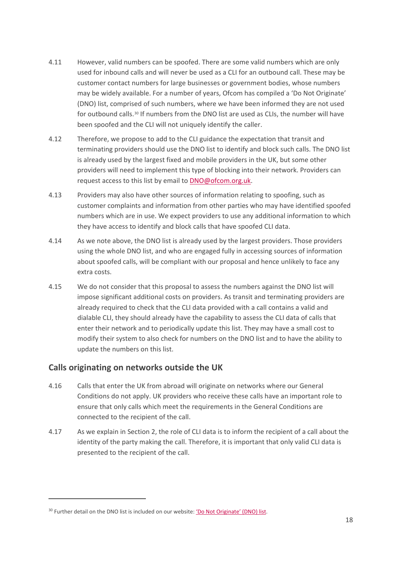- 4.11 However, valid numbers can be spoofed. There are some valid numbers which are only used for inbound calls and will never be used as a CLI for an outbound call. These may be customer contact numbers for large businesses or government bodies, whose numbers may be widely available. For a number of years, Ofcom has compiled a 'Do Not Originate' (DNO) list, comprised of such numbers, where we have been informed they are not used for outbound calls.<sup>[30](#page-19-0)</sup> If numbers from the DNO list are used as CLIs, the number will have been spoofed and the CLI will not uniquely identify the caller.
- 4.12 Therefore, we propose to add to the CLI guidance the expectation that transit and terminating providers should use the DNO list to identify and block such calls. The DNO list is already used by the largest fixed and mobile providers in the UK, but some other providers will need to implement this type of blocking into their network. Providers can request access to this list by email to [DNO@ofcom.org.uk.](mailto:DNO@ofcom.org.uk)
- 4.13 Providers may also have other sources of information relating to spoofing, such as customer complaints and information from other parties who may have identified spoofed numbers which are in use. We expect providers to use any additional information to which they have access to identify and block calls that have spoofed CLI data.
- 4.14 As we note above, the DNO list is already used by the largest providers. Those providers using the whole DNO list, and who are engaged fully in accessing sources of information about spoofed calls, will be compliant with our proposal and hence unlikely to face any extra costs.
- 4.15 We do not consider that this proposal to assess the numbers against the DNO list will impose significant additional costs on providers. As transit and terminating providers are already required to check that the CLI data provided with a call contains a valid and dialable CLI, they should already have the capability to assess the CLI data of calls that enter their network and to periodically update this list. They may have a small cost to modify their system to also check for numbers on the DNO list and to have the ability to update the numbers on this list.

#### **Calls originating on networks outside the UK**

- 4.16 Calls that enter the UK from abroad will originate on networks where our General Conditions do not apply. UK providers who receive these calls have an important role to ensure that only calls which meet the requirements in the General Conditions are connected to the recipient of the call.
- 4.17 As we explain in Section [2,](#page-4-0) the role of CLI data is to inform the recipient of a call about the identity of the party making the call. Therefore, it is important that only valid CLI data is presented to the recipient of the call.

<span id="page-19-0"></span><sup>&</sup>lt;sup>30</sup> Further detail on the DNO list is included on our website[: 'Do Not Originate' \(DNO\) list.](https://www.ofcom.org.uk/phones-telecoms-and-internet/information-for-industry/policy/tackling-scam-calls-and-texts/do-not-originate)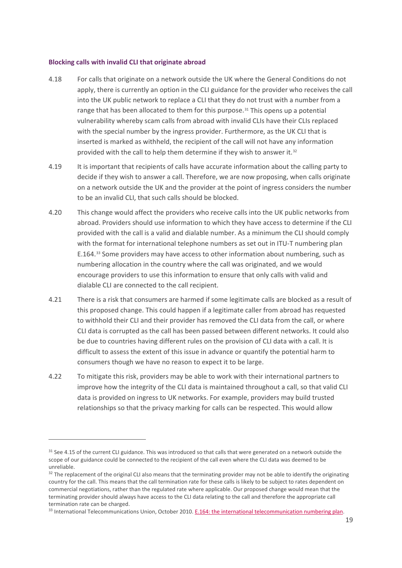#### **Blocking calls with invalid CLI that originate abroad**

- 4.18 For calls that originate on a network outside the UK where the General Conditions do not apply, there is currently an option in the CLI guidance for the provider who receives the call into the UK public network to replace a CLI that they do not trust with a number from a range that has been allocated to them for this purpose. $31$  This opens up a potential vulnerability whereby scam calls from abroad with invalid CLIs have their CLIs replaced with the special number by the ingress provider. Furthermore, as the UK CLI that is inserted is marked as withheld, the recipient of the call will not have any information provided with the call to help them determine if they wish to answer it.<sup>[32](#page-20-1)</sup>
- 4.19 It is important that recipients of calls have accurate information about the calling party to decide if they wish to answer a call. Therefore, we are now proposing, when calls originate on a network outside the UK and the provider at the point of ingress considers the number to be an invalid CLI, that such calls should be blocked.
- 4.20 This change would affect the providers who receive calls into the UK public networks from abroad. Providers should use information to which they have access to determine if the CLI provided with the call is a valid and dialable number. As a minimum the CLI should comply with the format for international telephone numbers as set out in ITU-T numbering plan E.164.[33](#page-20-2) Some providers may have access to other information about numbering, such as numbering allocation in the country where the call was originated, and we would encourage providers to use this information to ensure that only calls with valid and dialable CLI are connected to the call recipient.
- 4.21 There is a risk that consumers are harmed if some legitimate calls are blocked as a result of this proposed change. This could happen if a legitimate caller from abroad has requested to withhold their CLI and their provider has removed the CLI data from the call, or where CLI data is corrupted as the call has been passed between different networks. It could also be due to countries having different rules on the provision of CLI data with a call. It is difficult to assess the extent of this issue in advance or quantify the potential harm to consumers though we have no reason to expect it to be large.
- 4.22 To mitigate this risk, providers may be able to work with their international partners to improve how the integrity of the CLI data is maintained throughout a call, so that valid CLI data is provided on ingress to UK networks. For example, providers may build trusted relationships so that the privacy marking for calls can be respected. This would allow

<span id="page-20-0"></span><sup>&</sup>lt;sup>31</sup> See 4.15 of the current CLI guidance. This was introduced so that calls that were generated on a network outside the scope of our guidance could be connected to the recipient of the call even where the CLI data was deemed to be unreliable.

<span id="page-20-1"></span><sup>&</sup>lt;sup>32</sup> The replacement of the original CLI also means that the terminating provider may not be able to identify the originating country for the call. This means that the call termination rate for these calls is likely to be subject to rates dependent on commercial negotiations, rather than the regulated rate where applicable. Our proposed change would mean that the terminating provider should always have access to the CLI data relating to the call and therefore the appropriate call termination rate can be charged.<br><sup>33</sup> International Telecommunications Union, October 2010[. E.164: the international telecommunication numbering plan.](https://www.itu.int/rec/T-REC-E.164/en)

<span id="page-20-2"></span>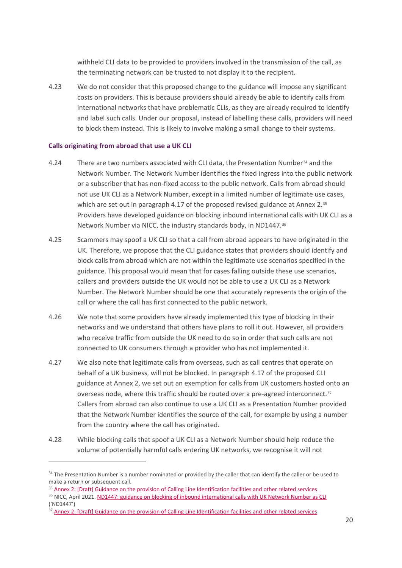withheld CLI data to be provided to providers involved in the transmission of the call, as the terminating network can be trusted to not display it to the recipient.

4.23 We do not consider that this proposed change to the guidance will impose any significant costs on providers. This is because providers should already be able to identify calls from international networks that have problematic CLIs, as they are already required to identify and label such calls. Under our proposal, instead of labelling these calls, providers will need to block them instead. This is likely to involve making a small change to their systems.

#### **Calls originating from abroad that use a UK CLI**

- 4.24 There are two numbers associated with CLI data, the Presentation Number<sup>[34](#page-21-0)</sup> and the Network Number. The Network Number identifies the fixed ingress into the public network or a subscriber that has non-fixed access to the public network. Calls from abroad should not use UK CLI as a Network Number, except in a limited number of legitimate use cases, which are set out in paragraph 4.17 of the proposed revised guidance at Annex 2.[35](#page-21-1) Providers have developed guidance on blocking inbound international calls with UK CLI as a Network Number via NICC, the industry standards body, in ND1447.[36](#page-21-2)
- 4.25 Scammers may spoof a UK CLI so that a call from abroad appears to have originated in the UK. Therefore, we propose that the CLI guidance states that providers should identify and block calls from abroad which are not within the legitimate use scenarios specified in the guidance. This proposal would mean that for cases falling outside these use scenarios, callers and providers outside the UK would not be able to use a UK CLI as a Network Number. The Network Number should be one that accurately represents the origin of the call or where the call has first connected to the public network.
- 4.26 We note that some providers have already implemented this type of blocking in their networks and we understand that others have plans to roll it out. However, all providers who receive traffic from outside the UK need to do so in order that such calls are not connected to UK consumers through a provider who has not implemented it.
- 4.27 We also note that legitimate calls from overseas, such as call centres that operate on behalf of a UK business, will not be blocked. In paragraph 4.17 of the proposed CLI guidance at Annex 2, we set out an exemption for calls from UK customers hosted onto an overseas node, where this traffic should be routed over a pre-agreed interconnect.<sup>[37](#page-21-3)</sup> Callers from abroad can also continue to use a UK CLI as a Presentation Number provided that the Network Number identifies the source of the call, for example by using a number from the country where the call has originated.
- 4.28 While blocking calls that spoof a UK CLI as a Network Number should help reduce the volume of potentially harmful calls entering UK networks, we recognise it will not

<span id="page-21-1"></span><sup>35</sup> Annex 2: [Draft] Guidance [on the provision of Calling Line Identification facilities and other related services](https://www.ofcom.org.uk/__data/assets/pdf_file/0017/232073/proposed-guidance-provision-of-cli-facilities.pdf)

<span id="page-21-0"></span><sup>&</sup>lt;sup>34</sup> The Presentation Number is a number nominated or provided by the caller that can identify the caller or be used to make a return or subsequent call.

<span id="page-21-2"></span><sup>&</sup>lt;sup>36</sup> NICC, April 2021. [ND1447: guidance on blocking of inbound international calls with UK Network Number as CLI](https://niccstandards.org.uk/wp-content/uploads/2021/04/ND1447V1.1.1.pdf) ('ND1447')

<span id="page-21-3"></span><sup>&</sup>lt;sup>37</sup> Annex 2: [Draft] Guidance [on the provision of Calling Line Identification facilities and other related services](https://www.ofcom.org.uk/__data/assets/pdf_file/0017/232073/proposed-guidance-provision-of-cli-facilities.pdf)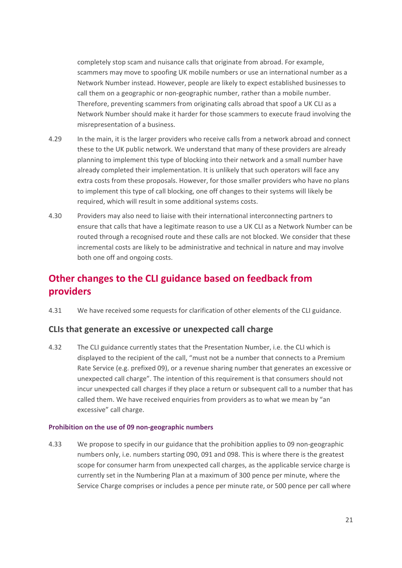completely stop scam and nuisance calls that originate from abroad. For example, scammers may move to spoofing UK mobile numbers or use an international number as a Network Number instead. However, people are likely to expect established businesses to call them on a geographic or non-geographic number, rather than a mobile number. Therefore, preventing scammers from originating calls abroad that spoof a UK CLI as a Network Number should make it harder for those scammers to execute fraud involving the misrepresentation of a business.

- 4.29 In the main, it is the larger providers who receive calls from a network abroad and connect these to the UK public network. We understand that many of these providers are already planning to implement this type of blocking into their network and a small number have already completed their implementation. It is unlikely that such operators will face any extra costs from these proposals. However, for those smaller providers who have no plans to implement this type of call blocking, one off changes to their systems will likely be required, which will result in some additional systems costs.
- <span id="page-22-0"></span>4.30 Providers may also need to liaise with their international interconnecting partners to ensure that calls that have a legitimate reason to use a UK CLI as a Network Number can be routed through a recognised route and these calls are not blocked. We consider that these incremental costs are likely to be administrative and technical in nature and may involve both one off and ongoing costs.

## **Other changes to the CLI guidance based on feedback from providers**

4.31 We have received some requests for clarification of other elements of the CLI guidance.

#### **CLIs that generate an excessive or unexpected call charge**

4.32 The CLI guidance currently states that the Presentation Number, i.e. the CLI which is displayed to the recipient of the call, "must not be a number that connects to a Premium Rate Service (e.g. prefixed 09), or a revenue sharing number that generates an excessive or unexpected call charge". The intention of this requirement is that consumers should not incur unexpected call charges if they place a return or subsequent call to a number that has called them. We have received enquiries from providers as to what we mean by "an excessive" call charge.

#### **Prohibition on the use of 09 non-geographic numbers**

4.33 We propose to specify in our guidance that the prohibition applies to 09 non-geographic numbers only, i.e. numbers starting 090, 091 and 098. This is where there is the greatest scope for consumer harm from unexpected call charges, as the applicable service charge is currently set in the Numbering Plan at a maximum of 300 pence per minute, where the Service Charge comprises or includes a pence per minute rate, or 500 pence per call where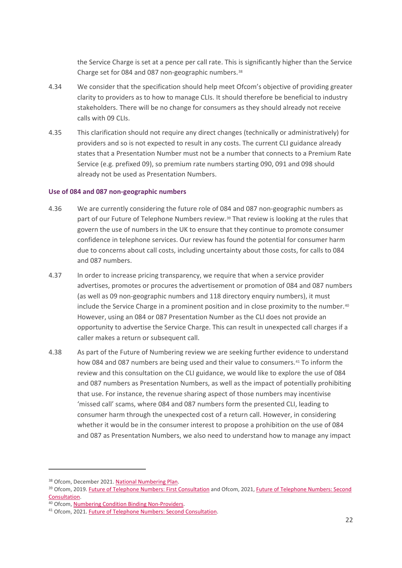the Service Charge is set at a pence per call rate. This is significantly higher than the Service Charge set for 084 and 087 non-geographic numbers.<sup>[38](#page-23-0)</sup>

- 4.34 We consider that the specification should help meet Ofcom's objective of providing greater clarity to providers as to how to manage CLIs. It should therefore be beneficial to industry stakeholders. There will be no change for consumers as they should already not receive calls with 09 CLIs.
- 4.35 This clarification should not require any direct changes (technically or administratively) for providers and so is not expected to result in any costs. The current CLI guidance already states that a Presentation Number must not be a number that connects to a Premium Rate Service (e.g. prefixed 09), so premium rate numbers starting 090, 091 and 098 should already not be used as Presentation Numbers.

#### **Use of 084 and 087 non-geographic numbers**

- 4.36 We are currently considering the future role of 084 and 087 non-geographic numbers as part of our Future of Telephone Numbers review.[39](#page-23-1) That review is looking at the rules that govern the use of numbers in the UK to ensure that they continue to promote consumer confidence in telephone services. Our review has found the potential for consumer harm due to concerns about call costs, including uncertainty about those costs, for calls to 084 and 087 numbers.
- 4.37 In order to increase pricing transparency, we require that when a service provider advertises, promotes or procures the advertisement or promotion of 084 and 087 numbers (as well as 09 non-geographic numbers and 118 directory enquiry numbers), it must include the Service Charge in a prominent position and in close proximity to the number.<sup>[40](#page-23-2)</sup> However, using an 084 or 087 Presentation Number as the CLI does not provide an opportunity to advertise the Service Charge. This can result in unexpected call charges if a caller makes a return or subsequent call.
- 4.38 As part of the Future of Numbering review we are seeking further evidence to understand how 084 and 087 numbers are being used and their value to consumers.[41](#page-23-3) To inform the review and this consultation on the CLI guidance, we would like to explore the use of 084 and 087 numbers as Presentation Numbers, as well as the impact of potentially prohibiting that use. For instance, the revenue sharing aspect of those numbers may incentivise 'missed call' scams, where 084 and 087 numbers form the presented CLI, leading to consumer harm through the unexpected cost of a return call. However, in considering whether it would be in the consumer interest to propose a prohibition on the use of 084 and 087 as Presentation Numbers, we also need to understand how to manage any impact

<span id="page-23-1"></span><span id="page-23-0"></span><sup>&</sup>lt;sup>38</sup> Ofcom, December 2021. <u>National Numbering Plan</u>.<br><sup>39</sup> Ofcom, 2019[. Future of Telephone Numbers: First Consultation](https://www.ofcom.org.uk/__data/assets/pdf_file/0022/144373/future-of-telephone-numbers.pdf) and Ofcom, 2021, Future of Telephone Numbers: Second [Consultation.](https://www.ofcom.org.uk/consultations-and-statements/category-1/future-of-telephone-numbers) 40 Ofcom, [Numbering Condition Binding Non-Providers.](https://www.ofcom.org.uk/__data/assets/pdf_file/0018/116532/Non-Provide-Numbering-Condition.pdf)

<span id="page-23-2"></span>

<span id="page-23-3"></span><sup>41</sup> Ofcom, 2021[. Future of Telephone Numbers: Second Consultation.](https://www.ofcom.org.uk/consultations-and-statements/category-1/future-of-telephone-numbers)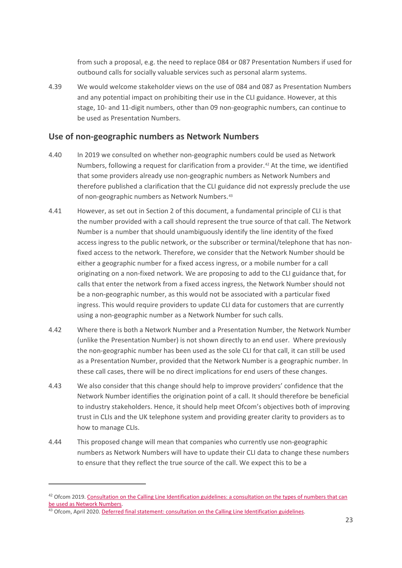from such a proposal, e.g. the need to replace 084 or 087 Presentation Numbers if used for outbound calls for socially valuable services such as personal alarm systems.

4.39 We would welcome stakeholder views on the use of 084 and 087 as Presentation Numbers and any potential impact on prohibiting their use in the CLI guidance. However, at this stage, 10- and 11-digit numbers, other than 09 non-geographic numbers, can continue to be used as Presentation Numbers.

#### **Use of non-geographic numbers as Network Numbers**

- 4.40 In 2019 we consulted on whether non-geographic numbers could be used as Network Numbers, following a request for clarification from a provider.<sup>[42](#page-24-0)</sup> At the time, we identified that some providers already use non-geographic numbers as Network Numbers and therefore published a clarification that the CLI guidance did not expressly preclude the use of non-geographic numbers as Network Numbers.<sup>[43](#page-24-1)</sup>
- 4.41 However, as set out in Section [2](#page-4-0) of this document, a fundamental principle of CLI is that the number provided with a call should represent the true source of that call. The Network Number is a number that should unambiguously identify the line identity of the fixed access ingress to the public network, or the subscriber or terminal/telephone that has nonfixed access to the network. Therefore, we consider that the Network Number should be either a geographic number for a fixed access ingress, or a mobile number for a call originating on a non-fixed network. We are proposing to add to the CLI guidance that, for calls that enter the network from a fixed access ingress, the Network Number should not be a non-geographic number, as this would not be associated with a particular fixed ingress. This would require providers to update CLI data for customers that are currently using a non-geographic number as a Network Number for such calls.
- 4.42 Where there is both a Network Number and a Presentation Number, the Network Number (unlike the Presentation Number) is not shown directly to an end user. Where previously the non-geographic number has been used as the sole CLI for that call, it can still be used as a Presentation Number, provided that the Network Number is a geographic number. In these call cases, there will be no direct implications for end users of these changes.
- 4.43 We also consider that this change should help to improve providers' confidence that the Network Number identifies the origination point of a call. It should therefore be beneficial to industry stakeholders. Hence, it should help meet Ofcom's objectives both of improving trust in CLIs and the UK telephone system and providing greater clarity to providers as to how to manage CLIs.
- 4.44 This proposed change will mean that companies who currently use non-geographic numbers as Network Numbers will have to update their CLI data to change these numbers to ensure that they reflect the true source of the call. We expect this to be a

<span id="page-24-0"></span> $42$  Ofcom 2019. Consultation on the Calling Line Identification guidelines: a consultation on the types of numbers that can be used [as Network Numbers.](https://www.ofcom.org.uk/__data/assets/pdf_file/0034/176794/consultation-on-the-calling-line-identification-guidelines.pdf)<br><sup>43</sup> Ofcom, April 2020[. Deferred final statement: consultation on the Calling Line Identification guidelines.](https://www.ofcom.org.uk/consultations-and-statements/category-3/cli-guidance-consultation)

<span id="page-24-1"></span>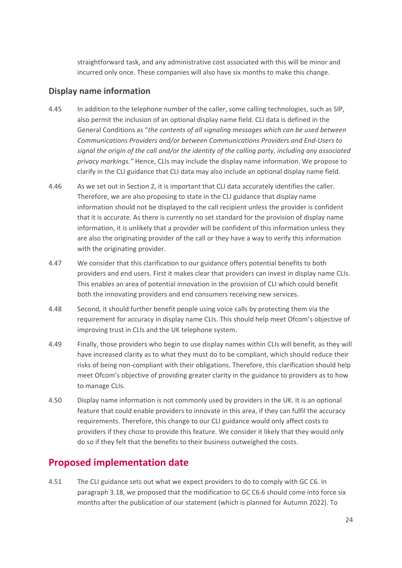straightforward task, and any administrative cost associated with this will be minor and incurred only once. These companies will also have six months to make this change.

#### **Display name information**

- 4.45 In addition to the telephone number of the caller, some calling technologies, such as SIP, also permit the inclusion of an optional display name field. CLI data is defined in the General Conditions as "*the contents of all signaling messages which can be used between Communications Providers and/or between Communications Providers and End-Users to signal the origin of the call and/or the identity of the calling party, including any associated privacy markings."* Hence, CLIs may include the display name information. We propose to clarify in the CLI guidance that CLI data may also include an optional display name field.
- 4.46 As we set out in Section [2,](#page-4-0) it is important that CLI data accurately identifies the caller. Therefore, we are also proposing to state in the CLI guidance that display name information should not be displayed to the call recipient unless the provider is confident that it is accurate. As there is currently no set standard for the provision of display name information, it is unlikely that a provider will be confident of this information unless they are also the originating provider of the call or they have a way to verify this information with the originating provider.
- 4.47 We consider that this clarification to our guidance offers potential benefits to both providers and end users. First it makes clear that providers can invest in display name CLIs. This enables an area of potential innovation in the provision of CLI which could benefit both the innovating providers and end consumers receiving new services.
- 4.48 Second, it should further benefit people using voice calls by protecting them via the requirement for accuracy in display name CLIs. This should help meet Ofcom's objective of improving trust in CLIs and the UK telephone system.
- 4.49 Finally, those providers who begin to use display names within CLIs will benefit, as they will have increased clarity as to what they must do to be compliant, which should reduce their risks of being non-compliant with their obligations. Therefore, this clarification should help meet Ofcom's objective of providing greater clarity in the guidance to providers as to how to manage CLIs.
- 4.50 Display name information is not commonly used by providers in the UK. It is an optional feature that could enable providers to innovate in this area, if they can fulfil the accuracy requirements. Therefore, this change to our CLI guidance would only affect costs to providers if they chose to provide this feature. We consider it likely that they would only do so if they felt that the benefits to their business outweighed the costs.

## **Proposed implementation date**

4.51 The CLI guidance sets out what we expect providers to do to comply with GC C6. In paragraph [3.18,](#page-16-0) we proposed that the modification to GC C6.6 should come into force six months after the publication of our statement (which is planned for Autumn 2022). To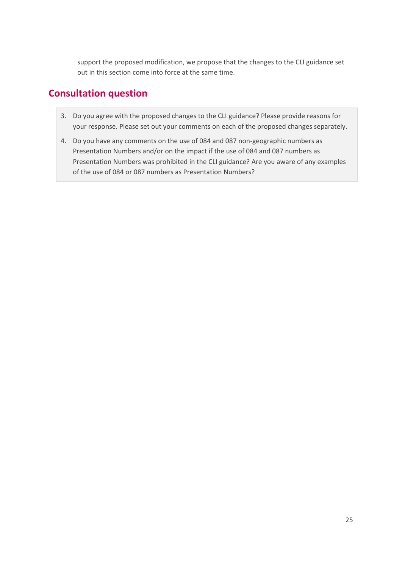support the proposed modification, we propose that the changes to the CLI guidance set out in this section come into force at the same time.

## **Consultation question**

- 3. Do you agree with the proposed changes to the CLI guidance? Please provide reasons for your response. Please set out your comments on each of the proposed changes separately.
- 4. Do you have any comments on the use of 084 and 087 non-geographic numbers as Presentation Numbers and/or on the impact if the use of 084 and 087 numbers as Presentation Numbers was prohibited in the CLI guidance? Are you aware of any examples of the use of 084 or 087 numbers as Presentation Numbers?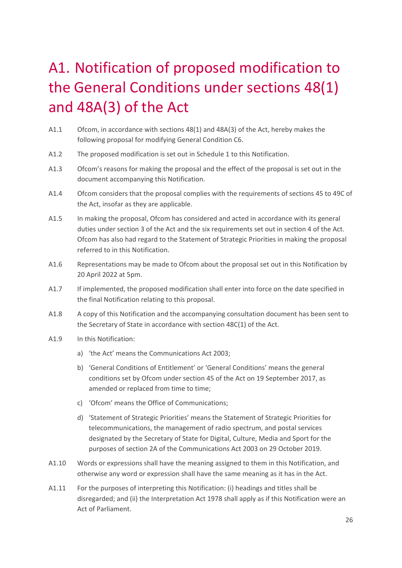# <span id="page-27-0"></span>A1. Notification of proposed modification to the General Conditions under sections 48(1) and 48A(3) of the Act

- A1.1 Ofcom, in accordance with sections 48(1) and 48A(3) of the Act, hereby makes the following proposal for modifying General Condition C6.
- A1.2 The proposed modification is set out in Schedule 1 to this Notification.
- A1.3 Ofcom's reasons for making the proposal and the effect of the proposal is set out in the document accompanying this Notification.
- A1.4 Ofcom considers that the proposal complies with the requirements of sections 45 to 49C of the Act, insofar as they are applicable.
- A1.5 In making the proposal, Ofcom has considered and acted in accordance with its general duties under section 3 of the Act and the six requirements set out in section 4 of the Act. Ofcom has also had regard to the Statement of Strategic Priorities in making the proposal referred to in this Notification.
- A1.6 Representations may be made to Ofcom about the proposal set out in this Notification by 20 April 2022 at 5pm.
- A1.7 If implemented, the proposed modification shall enter into force on the date specified in the final Notification relating to this proposal.
- A1.8 A copy of this Notification and the accompanying consultation document has been sent to the Secretary of State in accordance with section 48C(1) of the Act.
- A1.9 In this Notification:
	- a) 'the Act' means the Communications Act 2003;
	- b) 'General Conditions of Entitlement' or 'General Conditions' means the general conditions set by Ofcom under section 45 of the Act on 19 September 2017, as amended or replaced from time to time;
	- c) 'Ofcom' means the Office of Communications;
	- d) 'Statement of Strategic Priorities' means the Statement of Strategic Priorities for telecommunications, the management of radio spectrum, and postal services designated by the Secretary of State for Digital, Culture, Media and Sport for the purposes of section 2A of the Communications Act 2003 on 29 October 2019.
- A1.10 Words or expressions shall have the meaning assigned to them in this Notification, and otherwise any word or expression shall have the same meaning as it has in the Act.
- A1.11 For the purposes of interpreting this Notification: (i) headings and titles shall be disregarded; and (ii) the Interpretation Act 1978 shall apply as if this Notification were an Act of Parliament.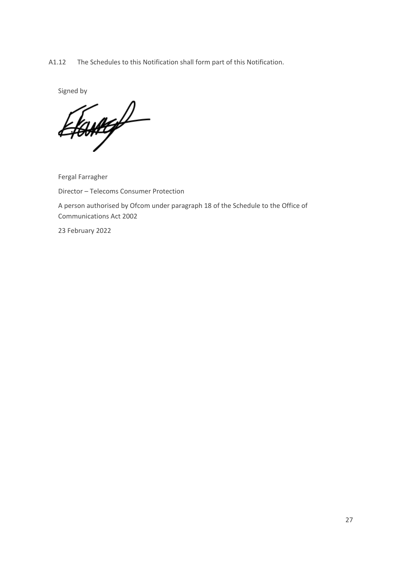A1.12 The Schedules to this Notification shall form part of this Notification.

Signed by<br>Efantige

Fergal Farragher

Director – Telecoms Consumer Protection

A person authorised by Ofcom under paragraph 18 of the Schedule to the Office of Communications Act 2002

23 February 2022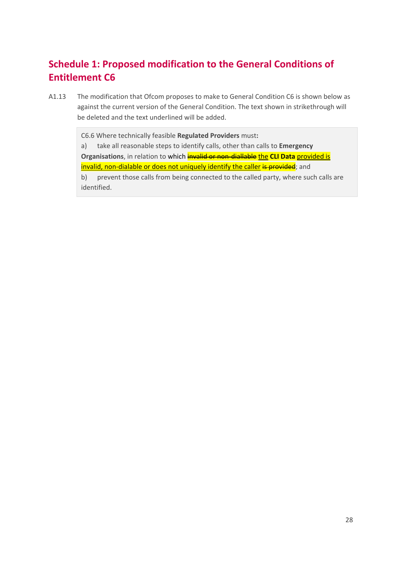# **Schedule 1: Proposed modification to the General Conditions of Entitlement C6**

A1.13 The modification that Ofcom proposes to make to General Condition C6 is shown below as against the current version of the General Condition. The text shown in strikethrough will be deleted and the text underlined will be added.

C6.6 Where technically feasible **Regulated Providers** must**:**

a) take all reasonable steps to identify calls, other than calls to **Emergency Organisations**, in relation to which **invalid or non-diallable the CLI Data** provided is invalid, non-dialable or does not uniquely identify the caller is provided; and b) prevent those calls from being connected to the called party, where such calls are identified.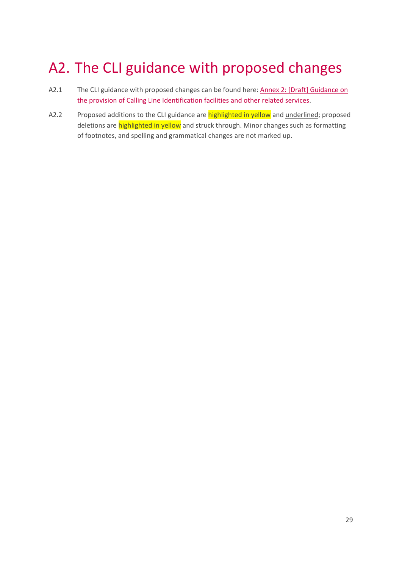# <span id="page-30-0"></span>A2. The CLI guidance with proposed changes

- A2.1 The CLI guidance with proposed changes can be found here: [Annex 2: \[Draft\] Guidance](https://www.ofcom.org.uk/__data/assets/pdf_file/0017/232073/proposed-guidance-provision-of-cli-facilities.pdf) on [the provision of Calling Line Identification facilities and other related services.](https://www.ofcom.org.uk/__data/assets/pdf_file/0017/232073/proposed-guidance-provision-of-cli-facilities.pdf)
- A2.2 Proposed additions to the CLI guidance are **highlighted in yellow** and underlined; proposed deletions are highlighted in yellow and struck through. Minor changes such as formatting of footnotes, and spelling and grammatical changes are not marked up.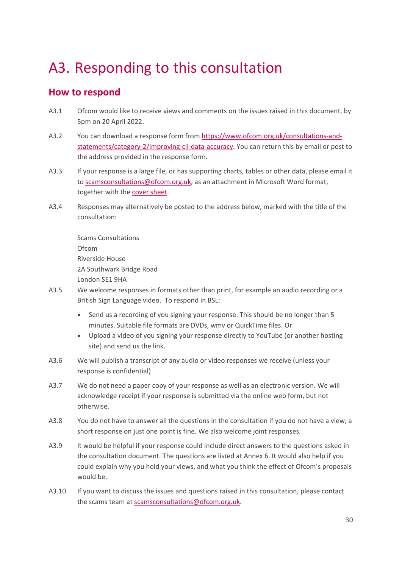# <span id="page-31-0"></span>A3. Responding to this consultation

## **How to respond**

- A3.1 Ofcom would like to receive views and comments on the issues raised in this document, by 5pm on 20 April 2022.
- A3.2 You can download a response form from [https://www.ofcom.org.uk/consultations-and](https://www.ofcom.org.uk/consultations-and-statements/category-2/improving-cli-data-accuracy)[statements/category-2/improving-cli-data-accuracy.](https://www.ofcom.org.uk/consultations-and-statements/category-2/improving-cli-data-accuracy) You can return this by email or post to the address provided in the response form.
- A3.3 If your response is a large file, or has supporting charts, tables or other data, please email it to [scamsconsultations@ofcom.org.uk,](mailto:scamsconsultations@ofcom.org.uk) as an attachment in Microsoft Word format, together with th[e cover sheet.](https://www.ofcom.org.uk/consultations-and-statements/consultation-response-coversheet)
- A3.4 Responses may alternatively be posted to the address below, marked with the title of the consultation:

Scams Consultations Ofcom Riverside House 2A Southwark Bridge Road London SE1 9HA

- A3.5 We welcome responses in formats other than print, for example an audio recording or a British Sign Language video. To respond in BSL:
	- Send us a recording of you signing your response. This should be no longer than 5 minutes. Suitable file formats are DVDs, wmv or QuickTime files. Or
	- Upload a video of you signing your response directly to YouTube (or another hosting site) and send us the link.
- A3.6 We will publish a transcript of any audio or video responses we receive (unless your response is confidential)
- A3.7 We do not need a paper copy of your response as well as an electronic version. We will acknowledge receipt if your response is submitted via the online web form, but not otherwise.
- A3.8 You do not have to answer all the questions in the consultation if you do not have a view; a short response on just one point is fine. We also welcome joint responses.
- A3.9 It would be helpful if your response could include direct answers to the questions asked in the consultation document. The questions are listed at Annex 6. It would also help if you could explain why you hold your views, and what you think the effect of Ofcom's proposals would be.
- A3.10 If you want to discuss the issues and questions raised in this consultation, please contact the scams team at [scamsconsultations@ofcom.org.uk.](mailto:scamsconsultations@ofcom.org.uk)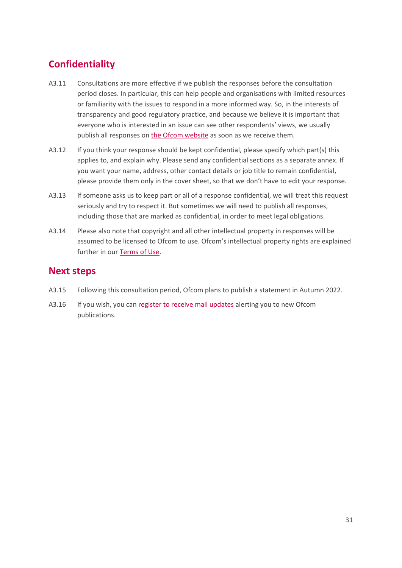# **Confidentiality**

- A3.11 Consultations are more effective if we publish the responses before the consultation period closes. In particular, this can help people and organisations with limited resources or familiarity with the issues to respond in a more informed way. So, in the interests of transparency and good regulatory practice, and because we believe it is important that everyone who is interested in an issue can see other respondents' views, we usually publish all responses on [the Ofcom](http://www.ofcom.org.uk/) website as soon as we receive them.
- A3.12 If you think your response should be kept confidential, please specify which part(s) this applies to, and explain why. Please send any confidential sections as a separate annex. If you want your name, address, other contact details or job title to remain confidential, please provide them only in the cover sheet, so that we don't have to edit your response.
- A3.13 If someone asks us to keep part or all of a response confidential, we will treat this request seriously and try to respect it. But sometimes we will need to publish all responses, including those that are marked as confidential, in order to meet legal obligations.
- A3.14 Please also note that copyright and all other intellectual property in responses will be assumed to be licensed to Ofcom to use. Ofcom's intellectual property rights are explained further in our [Terms of Use.](https://www.ofcom.org.uk/about-ofcom/website/terms-of-use)

### **Next steps**

- A3.15 Following this consultation period, Ofcom plans to publish a statement in Autumn 2022.
- A3.16 If you wish, you can [register to receive mail updates](https://www.ofcom.org.uk/about-ofcom/latest/email-updates) alerting you to new Ofcom publications.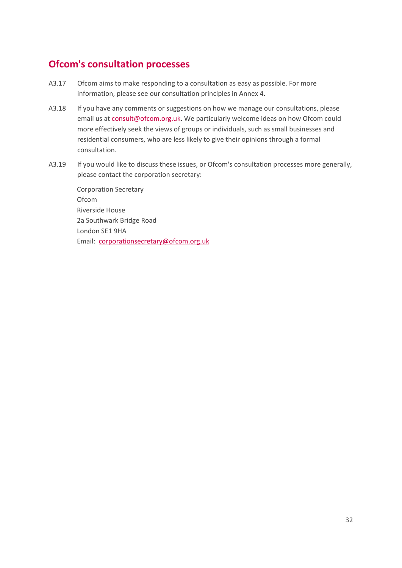## **Ofcom's consultation processes**

- A3.17 Ofcom aims to make responding to a consultation as easy as possible. For more information, please see our consultation principles in Annex 4.
- A3.18 If you have any comments or suggestions on how we manage our consultations, please email us a[t consult@ofcom.org.uk.](mailto:consult@ofcom.org.uk) We particularly welcome ideas on how Ofcom could more effectively seek the views of groups or individuals, such as small businesses and residential consumers, who are less likely to give their opinions through a formal consultation.
- A3.19 If you would like to discuss these issues, or Ofcom's consultation processes more generally, please contact the corporation secretary:

Corporation Secretary Ofcom Riverside House 2a Southwark Bridge Road London SE1 9HA Email: [corporationsecretary@ofcom.org.uk](mailto:corporationsecretary@ofcom.org.uk)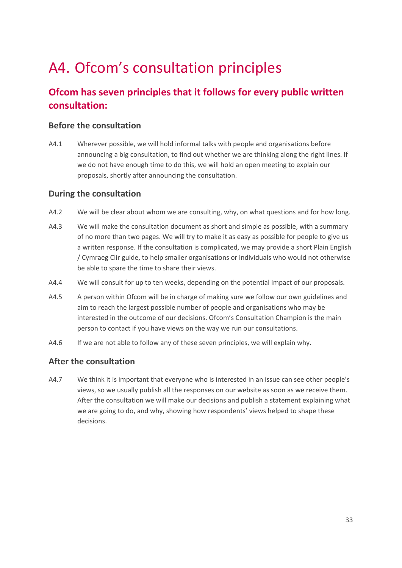# <span id="page-34-0"></span>A4. Ofcom's consultation principles

## **Ofcom has seven principles that it follows for every public written consultation:**

#### **Before the consultation**

A4.1 Wherever possible, we will hold informal talks with people and organisations before announcing a big consultation, to find out whether we are thinking along the right lines. If we do not have enough time to do this, we will hold an open meeting to explain our proposals, shortly after announcing the consultation.

#### **During the consultation**

- A4.2 We will be clear about whom we are consulting, why, on what questions and for how long.
- A4.3 We will make the consultation document as short and simple as possible, with a summary of no more than two pages. We will try to make it as easy as possible for people to give us a written response. If the consultation is complicated, we may provide a short Plain English / Cymraeg Clir guide, to help smaller organisations or individuals who would not otherwise be able to spare the time to share their views.
- A4.4 We will consult for up to ten weeks, depending on the potential impact of our proposals.
- A4.5 A person within Ofcom will be in charge of making sure we follow our own guidelines and aim to reach the largest possible number of people and organisations who may be interested in the outcome of our decisions. Ofcom's Consultation Champion is the main person to contact if you have views on the way we run our consultations.
- A4.6 If we are not able to follow any of these seven principles, we will explain why.

#### **After the consultation**

A4.7 We think it is important that everyone who is interested in an issue can see other people's views, so we usually publish all the responses on our website as soon as we receive them. After the consultation we will make our decisions and publish a statement explaining what we are going to do, and why, showing how respondents' views helped to shape these decisions.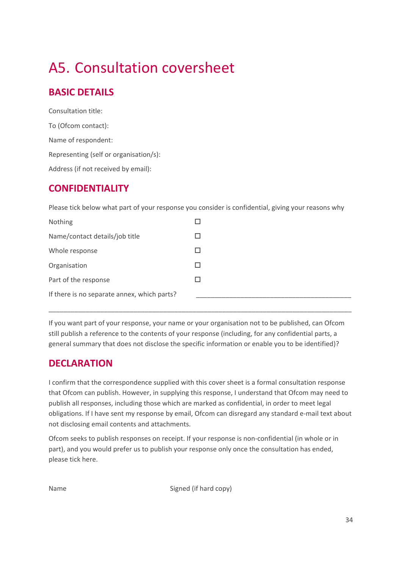# <span id="page-35-0"></span>A5. Consultation coversheet

## **BASIC DETAILS**

Consultation title: To (Ofcom contact): Name of respondent: Representing (self or organisation/s): Address (if not received by email):

## **CONFIDENTIALITY**

Please tick below what part of your response you consider is confidential, giving your reasons why

| Nothing                                     |  |
|---------------------------------------------|--|
| Name/contact details/job title              |  |
| Whole response                              |  |
| Organisation                                |  |
| Part of the response                        |  |
| If there is no separate annex, which parts? |  |

If you want part of your response, your name or your organisation not to be published, can Ofcom still publish a reference to the contents of your response (including, for any confidential parts, a general summary that does not disclose the specific information or enable you to be identified)?

\_\_\_\_\_\_\_\_\_\_\_\_\_\_\_\_\_\_\_\_\_\_\_\_\_\_\_\_\_\_\_\_\_\_\_\_\_\_\_\_\_\_\_\_\_\_\_\_\_\_\_\_\_\_\_\_\_\_\_\_\_\_\_\_\_\_\_\_\_\_\_\_\_\_\_\_\_\_\_\_\_\_

## **DECLARATION**

I confirm that the correspondence supplied with this cover sheet is a formal consultation response that Ofcom can publish. However, in supplying this response, I understand that Ofcom may need to publish all responses, including those which are marked as confidential, in order to meet legal obligations. If I have sent my response by email, Ofcom can disregard any standard e-mail text about not disclosing email contents and attachments.

Ofcom seeks to publish responses on receipt. If your response is non-confidential (in whole or in part), and you would prefer us to publish your response only once the consultation has ended, please tick here.

Name Signed (if hard copy)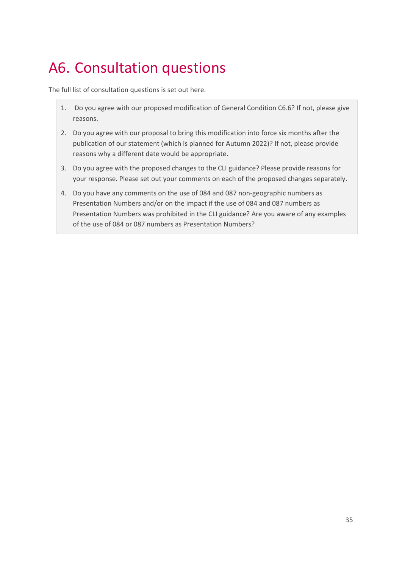# <span id="page-36-0"></span>A6. Consultation questions

The full list of consultation questions is set out here.

- 1. Do you agree with our proposed modification of General Condition C6.6? If not, please give reasons.
- 2. Do you agree with our proposal to bring this modification into force six months after the publication of our statement (which is planned for Autumn 2022)? If not, please provide reasons why a different date would be appropriate.
- 3. Do you agree with the proposed changes to the CLI guidance? Please provide reasons for your response. Please set out your comments on each of the proposed changes separately.
- 4. Do you have any comments on the use of 084 and 087 non-geographic numbers as Presentation Numbers and/or on the impact if the use of 084 and 087 numbers as Presentation Numbers was prohibited in the CLI guidance? Are you aware of any examples of the use of 084 or 087 numbers as Presentation Numbers?